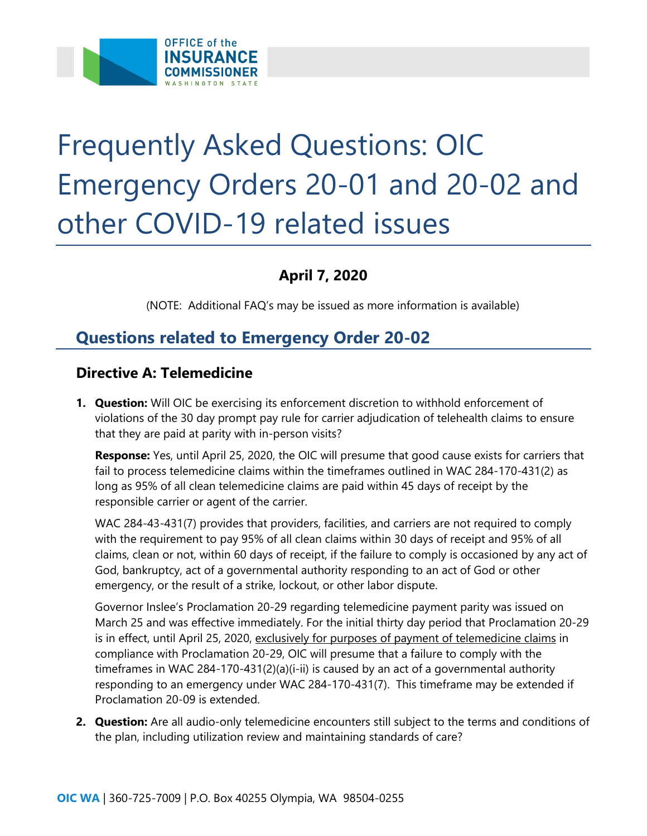

# Frequently Asked Questions: OIC Emergency Orders 20-01 and 20-02 and other COVID-19 related issues

# **April 7, 2020**

(NOTE: Additional FAQ's may be issued as more information is available)

## **Questions related to Emergency Order 20-02**

#### **Directive A: Telemedicine**

**1. Question:** Will OIC be exercising its enforcement discretion to withhold enforcement of violations of the 30 day prompt pay rule for carrier adjudication of telehealth claims to ensure that they are paid at parity with in-person visits?

**Response:** Yes, until April 25, 2020, the OIC will presume that good cause exists for carriers that fail to process telemedicine claims within the timeframes outlined in WAC 284-170-431(2) as long as 95% of all clean telemedicine claims are paid within 45 days of receipt by the responsible carrier or agent of the carrier.

 claims, clean or not, within 60 days of receipt, if the failure to comply is occasioned by any act of WAC 284-43-431(7) provides that providers, facilities, and carriers are not required to comply with the requirement to pay 95% of all clean claims within 30 days of receipt and 95% of all God, bankruptcy, act of a governmental authority responding to an act of God or other emergency, or the result of a strike, lockout, or other labor dispute.

Governor Inslee's Proclamation 20-29 regarding telemedicine payment parity was issued on March 25 and was effective immediately. For the initial thirty day period that Proclamation 20-29 is in effect, until April 25, 2020, exclusively for purposes of payment of telemedicine claims in compliance with Proclamation 20-29, OIC will presume that a failure to comply with the timeframes in WAC 284-170-431(2)(a)(i-ii) is caused by an act of a governmental authority responding to an emergency under WAC 284-170-431(7). This timeframe may be extended if Proclamation 20-09 is extended.

**2. Question:** Are all audio-only telemedicine encounters still subject to the terms and conditions of the plan, including utilization review and maintaining standards of care?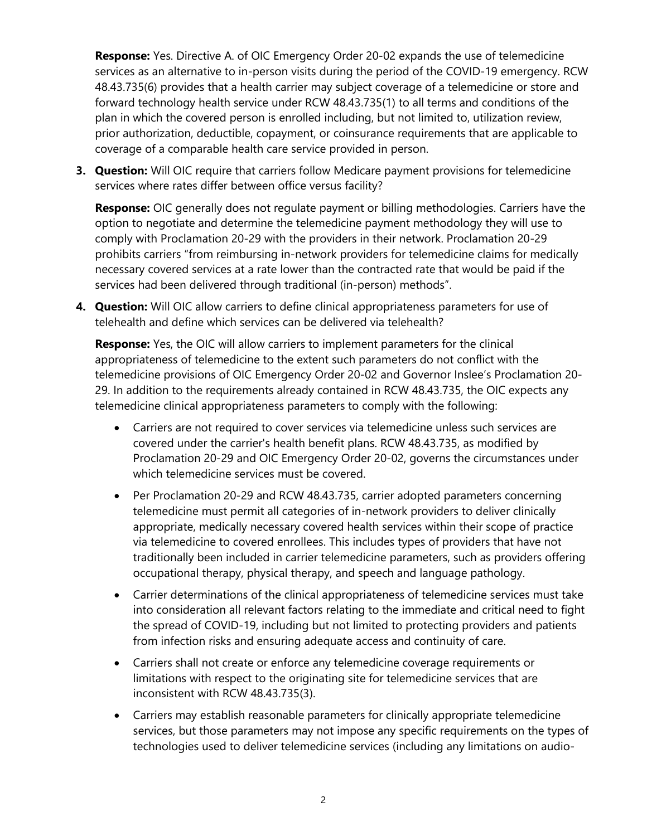**Response:** Yes. Directive A. of OIC Emergency Order 20-02 expands the use of telemedicine services as an alternative to in-person visits during the period of the COVID-19 emergency. RCW 48.43.735(6) provides that a health carrier may subject coverage of a telemedicine or store and forward technology health service under RCW 48.43.735(1) to all terms and conditions of the plan in which the covered person is enrolled including, but not limited to, utilization review, prior authorization, deductible, copayment, or coinsurance requirements that are applicable to coverage of a comparable health care service provided in person.

 services where rates differ between office versus facility? **3. Question:** Will OIC require that carriers follow Medicare payment provisions for telemedicine

**Response:** OIC generally does not regulate payment or billing methodologies. Carriers have the option to negotiate and determine the telemedicine payment methodology they will use to comply with Proclamation 20-29 with the providers in their network. Proclamation 20-29 prohibits carriers "from reimbursing in-network providers for telemedicine claims for medically necessary covered services at a rate lower than the contracted rate that would be paid if the services had been delivered through traditional (in-person) methods".

**4. Question:** Will OIC allow carriers to define clinical appropriateness parameters for use of telehealth and define which services can be delivered via telehealth?

**Response:** Yes, the OIC will allow carriers to implement parameters for the clinical appropriateness of telemedicine to the extent such parameters do not conflict with the telemedicine provisions of OIC Emergency Order 20-02 and Governor Inslee's Proclamation 20- 29. In addition to the requirements already contained in RCW 48.43.735, the OIC expects any telemedicine clinical appropriateness parameters to comply with the following:

- Carriers are not required to cover services via telemedicine unless such services are covered under the carrier's health benefit plans. RCW 48.43.735, as modified by Proclamation 20-29 and OIC Emergency Order 20-02, governs the circumstances under which telemedicine services must be covered.
- via telemedicine to covered enrollees. This includes types of providers that have not • Per Proclamation 20-29 and RCW 48.43.735, carrier adopted parameters concerning telemedicine must permit all categories of in-network providers to deliver clinically appropriate, medically necessary covered health services within their scope of practice traditionally been included in carrier telemedicine parameters, such as providers offering occupational therapy, physical therapy, and speech and language pathology.
- from infection risks and ensuring adequate access and continuity of care. • Carrier determinations of the clinical appropriateness of telemedicine services must take into consideration all relevant factors relating to the immediate and critical need to fight the spread of COVID-19, including but not limited to protecting providers and patients
- Carriers shall not create or enforce any telemedicine coverage requirements or limitations with respect to the originating site for telemedicine services that are inconsistent with RCW 48.43.735(3).
- • Carriers may establish reasonable parameters for clinically appropriate telemedicine services, but those parameters may not impose any specific requirements on the types of technologies used to deliver telemedicine services (including any limitations on audio-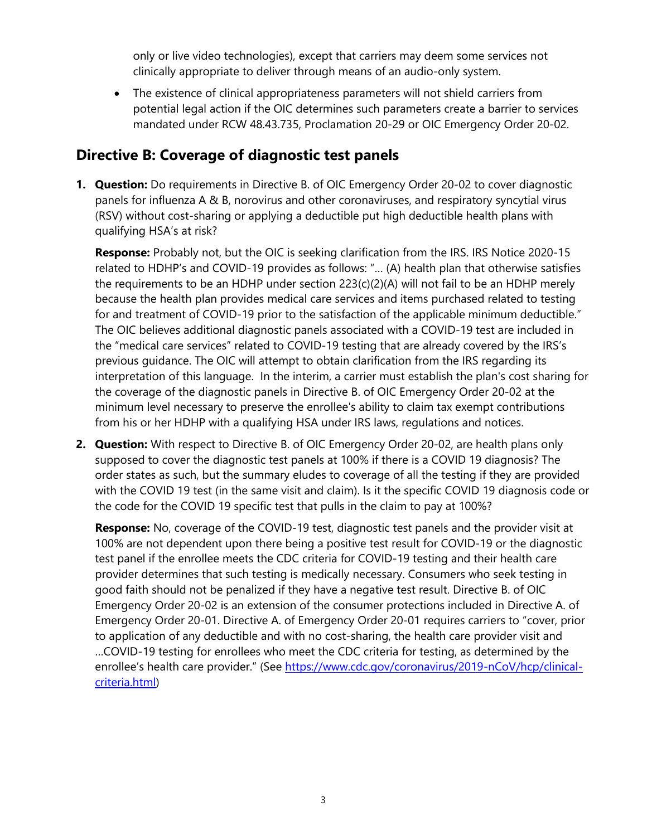only or live video technologies), except that carriers may deem some services not clinically appropriate to deliver through means of an audio-only system.

 • The existence of clinical appropriateness parameters will not shield carriers from potential legal action if the OIC determines such parameters create a barrier to services mandated under RCW 48.43.735, Proclamation 20-29 or OIC Emergency Order 20-02.

### **Directive B: Coverage of diagnostic test panels**

**1. Question:** Do requirements in Directive B. of OIC Emergency Order 20-02 to cover diagnostic panels for influenza A & B, norovirus and other coronaviruses, and respiratory syncytial virus (RSV) without cost-sharing or applying a deductible put high deductible health plans with qualifying HSA's at risk?

**Response:** Probably not, but the OIC is seeking clarification from the IRS. IRS Notice 2020-15 related to HDHP's and COVID-19 provides as follows: "… (A) health plan that otherwise satisfies the requirements to be an HDHP under section 223(c)(2)(A) will not fail to be an HDHP merely because the health plan provides medical care services and items purchased related to testing for and treatment of COVID-19 prior to the satisfaction of the applicable minimum deductible." The OIC believes additional diagnostic panels associated with a COVID-19 test are included in the "medical care services" related to COVID-19 testing that are already covered by the IRS's previous guidance. The OIC will attempt to obtain clarification from the IRS regarding its interpretation of this language. In the interim, a carrier must establish the plan's cost sharing for the coverage of the diagnostic panels in Directive B. of OIC Emergency Order 20-02 at the minimum level necessary to preserve the enrollee's ability to claim tax exempt contributions from his or her HDHP with a qualifying HSA under IRS laws, regulations and notices.

 **2. Question:** With respect to Directive B. of OIC Emergency Order 20-02, are health plans only the code for the COVID 19 specific test that pulls in the claim to pay at 100%? supposed to cover the diagnostic test panels at 100% if there is a COVID 19 diagnosis? The order states as such, but the summary eludes to coverage of all the testing if they are provided with the COVID 19 test (in the same visit and claim). Is it the specific COVID 19 diagnosis code or

 …COVID-19 testing for enrollees who meet the CDC criteria for testing, as determined by the **Response:** No, coverage of the COVID-19 test, diagnostic test panels and the provider visit at 100% are not dependent upon there being a positive test result for COVID-19 or the diagnostic test panel if the enrollee meets the CDC criteria for COVID-19 testing and their health care provider determines that such testing is medically necessary. Consumers who seek testing in good faith should not be penalized if they have a negative test result. Directive B. of OIC Emergency Order 20-02 is an extension of the consumer protections included in Directive A. of Emergency Order 20-01. Directive A. of Emergency Order 20-01 requires carriers to "cover, prior to application of any deductible and with no cost-sharing, the health care provider visit and enrollee's health care provider." (See [https://www.cdc.gov/coronavirus/2019-nCoV/hcp/clinical](https://www.cdc.gov/coronavirus/2019-nCoV/hcp/clinical-criteria.html)[criteria.html\)](https://www.cdc.gov/coronavirus/2019-nCoV/hcp/clinical-criteria.html)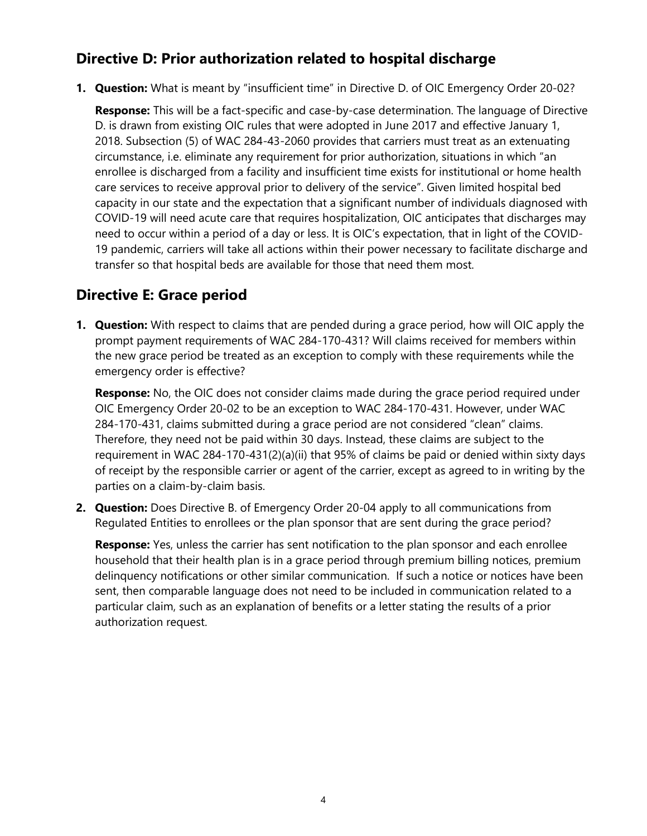## **Directive D: Prior authorization related to hospital discharge**

**1. Question:** What is meant by "insufficient time" in Directive D. of OIC Emergency Order 20-02?

**Response:** This will be a fact-specific and case-by-case determination. The language of Directive D. is drawn from existing OIC rules that were adopted in June 2017 and effective January 1, 2018. Subsection (5) of WAC 284-43-2060 provides that carriers must treat as an extenuating circumstance, i.e. eliminate any requirement for prior authorization, situations in which "an enrollee is discharged from a facility and insufficient time exists for institutional or home health care services to receive approval prior to delivery of the service". Given limited hospital bed capacity in our state and the expectation that a significant number of individuals diagnosed with COVID-19 will need acute care that requires hospitalization, OIC anticipates that discharges may need to occur within a period of a day or less. It is OIC's expectation, that in light of the COVID-19 pandemic, carriers will take all actions within their power necessary to facilitate discharge and transfer so that hospital beds are available for those that need them most.

## **Directive E: Grace period**

**1. Question:** With respect to claims that are pended during a grace period, how will OIC apply the prompt payment requirements of WAC 284-170-431? Will claims received for members within the new grace period be treated as an exception to comply with these requirements while the emergency order is effective?

**Response:** No, the OIC does not consider claims made during the grace period required under OIC Emergency Order 20-02 to be an exception to WAC 284-170-431. However, under WAC 284-170-431, claims submitted during a grace period are not considered "clean" claims. Therefore, they need not be paid within 30 days. Instead, these claims are subject to the requirement in WAC 284-170-431(2)(a)(ii) that 95% of claims be paid or denied within sixty days of receipt by the responsible carrier or agent of the carrier, except as agreed to in writing by the parties on a claim-by-claim basis.

**2. Question:** Does Directive B. of Emergency Order 20-04 apply to all communications from Regulated Entities to enrollees or the plan sponsor that are sent during the grace period?

**Response:** Yes, unless the carrier has sent notification to the plan sponsor and each enrollee household that their health plan is in a grace period through premium billing notices, premium delinquency notifications or other similar communication. If such a notice or notices have been sent, then comparable language does not need to be included in communication related to a particular claim, such as an explanation of benefits or a letter stating the results of a prior authorization request.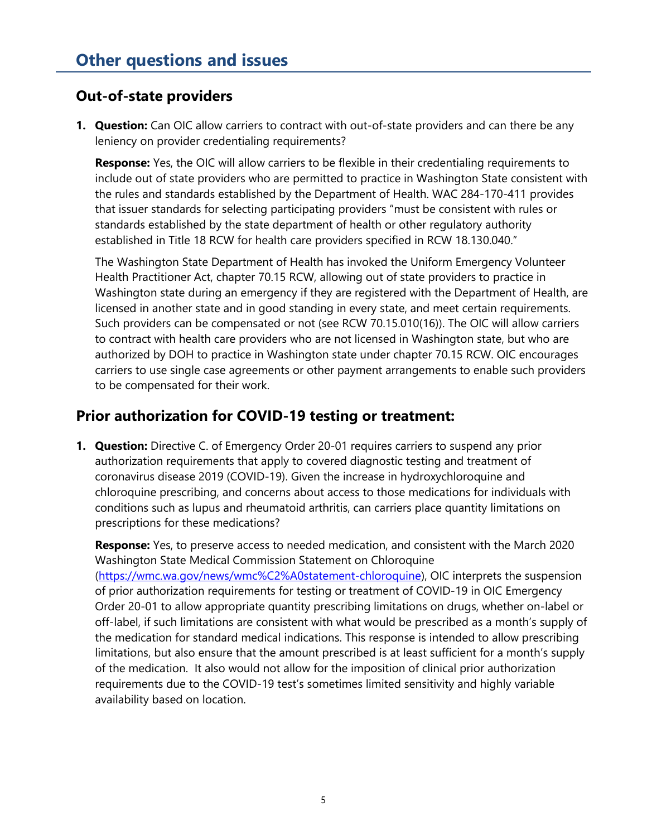#### **Out-of-state providers**

**1. Question:** Can OIC allow carriers to contract with out-of-state providers and can there be any leniency on provider credentialing requirements?

**Response:** Yes, the OIC will allow carriers to be flexible in their credentialing requirements to include out of state providers who are permitted to practice in Washington State consistent with the rules and standards established by the Department of Health. WAC 284-170-411 provides that issuer standards for selecting participating providers "must be consistent with rules or standards established by the state department of health or other regulatory authority established in Title 18 RCW for health care providers specified in RCW 18.130.040."

 The Washington State Department of Health has invoked the Uniform Emergency Volunteer Such providers can be compensated or not (see RCW 70.15.010(16)). The OIC will allow carriers Health Practitioner Act, chapter 70.15 RCW, allowing out of state providers to practice in Washington state during an emergency if they are registered with the Department of Health, are licensed in another state and in good standing in every state, and meet certain requirements. to contract with health care providers who are not licensed in Washington state, but who are authorized by DOH to practice in Washington state under chapter 70.15 RCW. OIC encourages carriers to use single case agreements or other payment arrangements to enable such providers to be compensated for their work.

#### **Prior authorization for COVID-19 testing or treatment:**

 **1. Question:** Directive C. of Emergency Order 20-01 requires carriers to suspend any prior authorization requirements that apply to covered diagnostic testing and treatment of coronavirus disease 2019 (COVID-19). Given the increase in hydroxychloroquine and chloroquine prescribing, and concerns about access to those medications for individuals with conditions such as lupus and rheumatoid arthritis, can carriers place quantity limitations on prescriptions for these medications?

**Response:** Yes, to preserve access to needed medication, and consistent with the March 2020<br>Washington State Medical Commission Statement on Chloroquine [\(https://wmc.wa.gov/news/wmc%C2%A0statement-chloroquine\)](https://wmc.wa.gov/news/wmc%C2%A0statement-chloroquine), OIC interprets the suspension of prior authorization requirements for testing or treatment of COVID-19 in OIC Emergency Order 20-01 to allow appropriate quantity prescribing limitations on drugs, whether on-label or off-label, if such limitations are consistent with what would be prescribed as a month's supply of the medication for standard medical indications. This response is intended to allow prescribing limitations, but also ensure that the amount prescribed is at least sufficient for a month's supply of the medication. It also would not allow for the imposition of clinical prior authorization requirements due to the COVID-19 test's sometimes limited sensitivity and highly variable availability based on location.